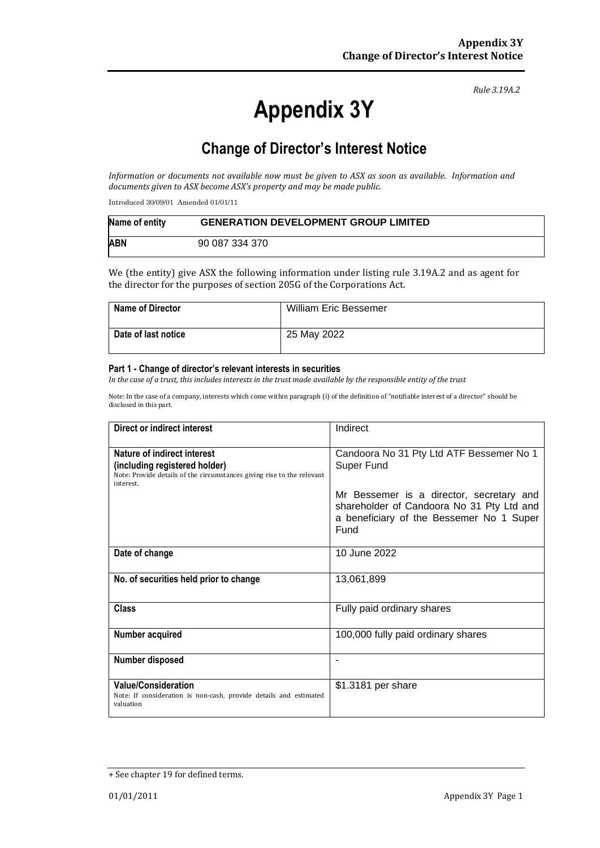# **Appendix 3Y**

*Rule 3.19A.2*

# **Change of Director's Interest Notice**

*Information or documents not available now must be given to ASX as soon as available. Information and documents given to ASX become ASX's property and may be made public.*

Introduced 30/09/01 Amended 01/01/11

| Name of entity | <b>GENERATION DEVELOPMENT GROUP LIMITED</b> |
|----------------|---------------------------------------------|
| <b>ABN</b>     | 90 087 334 370                              |

We (the entity) give ASX the following information under listing rule 3.19A.2 and as agent for the director for the purposes of section 205G of the Corporations Act.

| <b>Name of Director</b> | <b>William Eric Bessemer</b> |
|-------------------------|------------------------------|
| Date of last notice     | 25 May 2022                  |

#### **Part 1 - Change of director's relevant interests in securities**

*In the case of a trust, this includes interests in the trust made available by the responsible entity of the trust*

Note: In the case of a company, interests which come within paragraph (i) of the definition of "notifiable interest of a director" should be disclosed in this part.

| Direct or indirect interest                                                                                                                         | Indirect                                                                                                                                  |  |
|-----------------------------------------------------------------------------------------------------------------------------------------------------|-------------------------------------------------------------------------------------------------------------------------------------------|--|
| Nature of indirect interest<br>(including registered holder)<br>Note: Provide details of the circumstances giving rise to the relevant<br>interest. | Candoora No 31 Pty Ltd ATF Bessemer No 1<br>Super Fund                                                                                    |  |
|                                                                                                                                                     | Mr Bessemer is a director, secretary and<br>shareholder of Candoora No 31 Pty Ltd and<br>a beneficiary of the Bessemer No 1 Super<br>Fund |  |
| Date of change                                                                                                                                      | 10 June 2022                                                                                                                              |  |
| No. of securities held prior to change                                                                                                              | 13,061,899                                                                                                                                |  |
| <b>Class</b>                                                                                                                                        | Fully paid ordinary shares                                                                                                                |  |
| Number acquired                                                                                                                                     | 100,000 fully paid ordinary shares                                                                                                        |  |
| Number disposed                                                                                                                                     | -                                                                                                                                         |  |
| <b>Value/Consideration</b><br>Note: If consideration is non-cash, provide details and estimated<br>valuation                                        | \$1.3181 per share                                                                                                                        |  |

<sup>+</sup> See chapter 19 for defined terms.